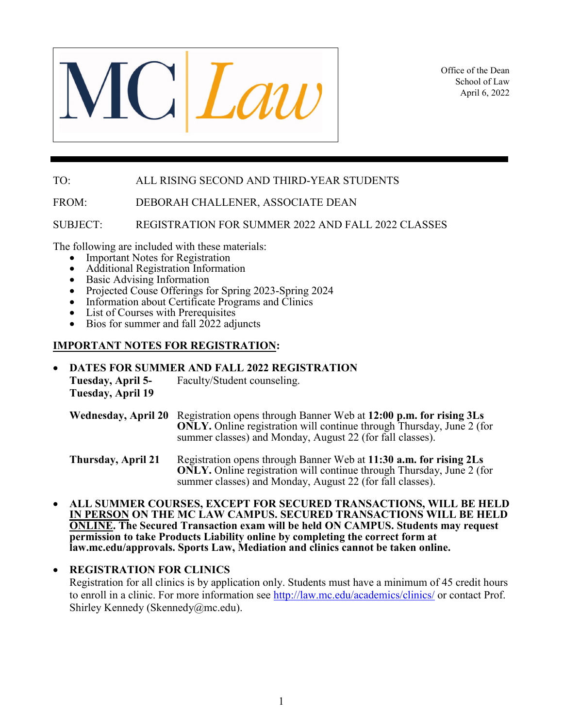

Office of the Dean School of Law April 6, 2022

## TO: ALL RISING SECOND AND THIRD-YEAR STUDENTS

FROM: DEBORAH CHALLENER, ASSOCIATE DEAN

SUBJECT: REGISTRATION FOR SUMMER 2022 AND FALL 2022 CLASSES

- 
- 
- 
- The following are included with these materials:<br>
Important Notes for Registration<br>
Additional Registration Information<br>
Basic Advising Information<br>
Projected Couse Offerings for Spring 2023-Spring 2024<br>
Informat
	-
	-
	-

### **IMPORTANT NOTES FOR REGISTRATION:**

• **DATES FOR SUMMER AND FALL 2022 REGISTRATION Tuesday, April 5-** Faculty/Student counseling. **Tuesday, April 19** 

**Wednesday, April 20** Registration opens through Banner Web at **12:00 p.m. for rising 3Ls ONLY.** Online registration will continue through Thursday, June 2 (for summer classes) and Monday, August 22 (for fall classes).

**Thursday, April 21** Registration opens through Banner Web at **11:30 a.m. for rising 2Ls ONLY.** Online registration will continue through Thursday, June 2 (for summer classes) and Monday, August 22 (for fall classes).

• **ALL SUMMER COURSES, EXCEPT FOR SECURED TRANSACTIONS, WILL BE HELD IN PERSON ON THE MC LAW CAMPUS. SECURED TRANSACTIONS WILL BE HELD ONLINE. The Secured Transaction exam will be held ON CAMPUS. Students may request permission to take Products Liability online by completing the correct form at law.mc.edu/approvals. Sports Law, Mediation and clinics cannot be taken online.** 

### • **REGISTRATION FOR CLINICS**

 Registration for all clinics is by application only. Students must have a minimum of 45 credit hours to enroll in a clinic. For more information see<http://law.mc.edu/academics/clinics/> or contact Prof. Shirley Kennedy (Skennedy@mc.edu).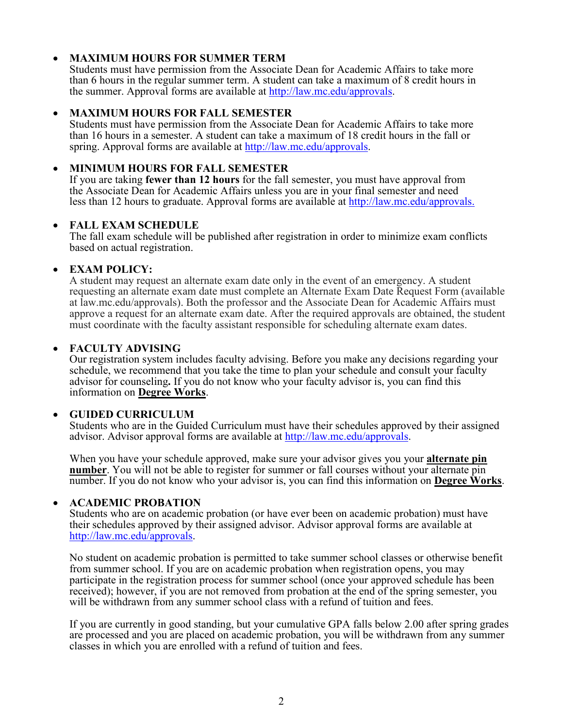## • **MAXIMUM HOURS FOR SUMMER TERM**

Students must have permission from the Associate Dean for Academic Affairs to take more than 6 hours in the regular summer term. A student can take a maximum of 8 credit hours in the summer. Approval forms are available at [http://law.mc.edu/approvals.](http://law.mc.edu/approvals)

### • **MAXIMUM HOURS FOR FALL SEMESTER**

Students must have permission from the Associate Dean for Academic Affairs to take more than 16 hours in a semester. A student can take a maximum of 18 credit hours in the fall or spring. Approval forms are available at [http://law.mc.edu/approvals.](http://law.mc.edu/approvals)

### • **MINIMUM HOURS FOR FALL SEMESTER**

If you are taking **fewer than 12 hours** for the fall semester, you must have approval from the Associate Dean for Academic Affairs unless you are in your final semester and need less than 12 hours to graduate. Approval forms are available at [http://law.mc.edu/a](http://law.mc.edu/)pprovals.

### • **FALL EXAM SCHEDULE**

The fall exam schedule will be published after registration in order to minimize exam conflicts based on actual registration.

### • **EXAM POLICY:**

A student may request an alternate exam date only in the event of an emergency. A student requesting an alternate exam date must complete an Alternate Exam Date Request Form (available at law.mc.edu/approvals). Both the professor and the Associate Dean for Academic Affairs must approve a request for an alternate exam date. After the required approvals are obtained, the student must coordinate with the faculty assistant responsible for scheduling alternate exam dates.

### • **FACULTY ADVISING**

Our registration system includes faculty advising. Before you make any decisions regarding your schedule, we recommend that you take the time to plan your schedule and consult your faculty advisor for counseling**.** If you do not know who your faculty advisor is, you can find this information on **Degree Works**.

### • **GUIDED CURRICULUM**

Students who are in the Guided Curriculum must have their schedules approved by their assigned advisor. Advisor approval forms are available at [http://law.mc.edu/approvals.](http://law.mc.edu/approvals)

When you have your schedule approved, make sure your advisor gives you your **alternate pin number**. You will not be able to register for summer or fall courses without your alternate pin number. If you do not know who your advisor is, you can find this information on **Degree Works**.

### • **ACADEMIC PROBATION**

Students who are on academic probation (or have ever been on academic probation) must have their schedules approved by their assigned advisor. Advisor approval forms are available at [http://law.mc.edu/approvals.](http://law.mc.edu/approvals)

No student on academic probation is permitted to take summer school classes or otherwise benefit from summer school. If you are on academic probation when registration opens, you may participate in the registration process for summer school (once your approved schedule has been received); however, if you are not removed from probation at the end of the spring semester, you will be withdrawn from any summer school class with a refund of tuition and fees.

If you are currently in good standing, but your cumulative GPA falls below 2.00 after spring grades are processed and you are placed on academic probation, you will be withdrawn from any summer classes in which you are enrolled with a refund of tuition and fees.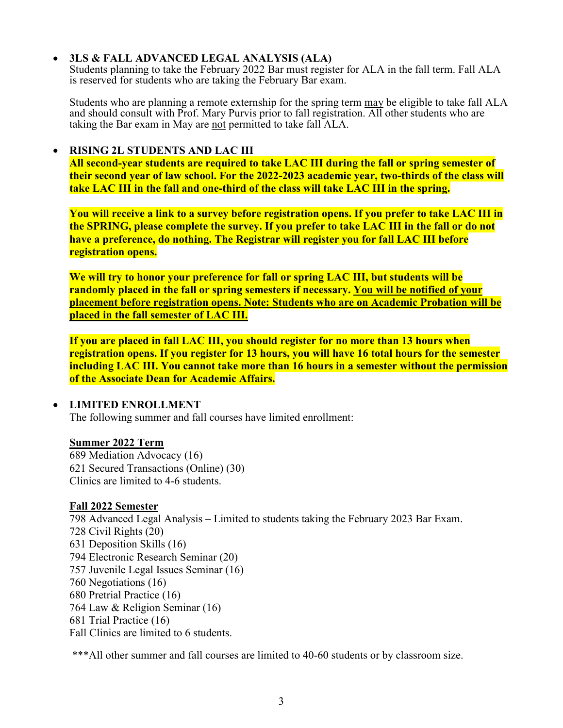# • **3LS & FALL ADVANCED LEGAL ANALYSIS (ALA)**

Students planning to take the February 2022 Bar must register for ALA in the fall term. Fall ALA is reserved for students who are taking the February Bar exam.

Students who are planning a remote externship for the spring term may be eligible to take fall ALA and should consult with Prof. Mary Purvis prior to fall registration. All other students who are taking the Bar exam in May are not permitted to take fall ALA.

### • **RISING 2L STUDENTS AND LAC III**

**All second-year students are required to take LAC III during the fall or spring semester of their second year of law school. For the 2022-2023 academic year, two-thirds of the class will take LAC III in the fall and one-third of the class will take LAC III in the spring.** 

**You will receive a link to a survey before registration opens. If you prefer to take LAC III in the SPRING, please complete the survey. If you prefer to take LAC III in the fall or do not have a preference, do nothing. The Registrar will register you for fall LAC III before registration opens.** 

**We will try to honor your preference for fall or spring LAC III, but students will be randomly placed in the fall or spring semesters if necessary. You will be notified of your placement before registration opens. Note: Students who are on Academic Probation will be placed in the fall semester of LAC III.**

**If you are placed in fall LAC III, you should register for no more than 13 hours when registration opens. If you register for 13 hours, you will have 16 total hours for the semester including LAC III. You cannot take more than 16 hours in a semester without the permission of the Associate Dean for Academic Affairs.** 

# • **LIMITED ENROLLMENT**

The following summer and fall courses have limited enrollment:

# **Summer 2022 Term**

689 Mediation Advocacy (16) 621 Secured Transactions (Online) (30) Clinics are limited to 4-6 students.

# **Fall 2022 Semester**

798 Advanced Legal Analysis – Limited to students taking the February 2023 Bar Exam. 728 Civil Rights (20) 631 Deposition Skills (16) 794 Electronic Research Seminar (20) 757 Juvenile Legal Issues Seminar (16) 760 Negotiations (16) 680 Pretrial Practice (16) 764 Law & Religion Seminar (16) 681 Trial Practice (16) Fall Clinics are limited to 6 students.

\*\*\*All other summer and fall courses are limited to 40-60 students or by classroom size.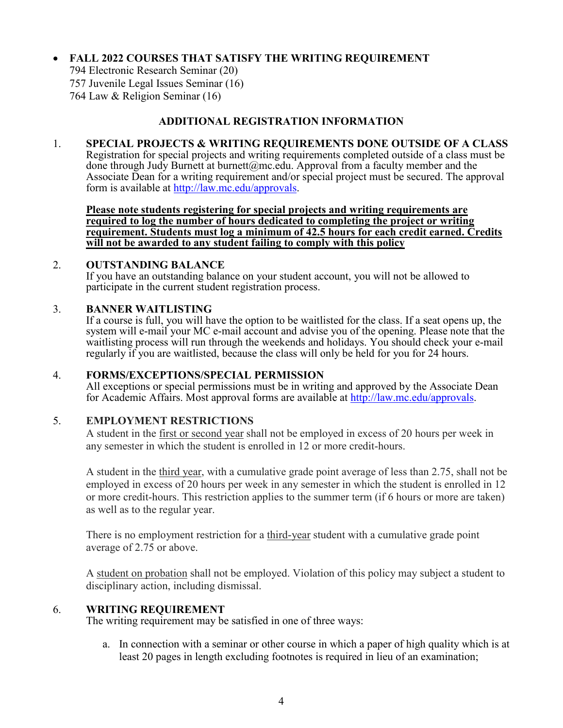# • **FALL 2022 COURSES THAT SATISFY THE WRITING REQUIREMENT**

794 Electronic Research Seminar (20) 757 Juvenile Legal Issues Seminar (16) 764 Law & Religion Seminar (16)

## **ADDITIONAL REGISTRATION INFORMATION**

### 1. **SPECIAL PROJECTS & WRITING REQUIREMENTS DONE OUTSIDE OF A CLASS**

Registration for special projects and writing requirements completed outside of a class must be done through Judy Burnett at burnett@mc.edu. Approval from a faculty member and the Associate Dean for a writing requirement and/or special project must be secured. The approval form is available at [http://law.mc.edu/approvals.](http://law.mc.edu/approvals)

**Please note students registering for special projects and writing requirements are required to log the number of hours dedicated to completing the project or writing requirement. Students must log a minimum of 42.5 hours for each credit earned. Credits will not be awarded to any student failing to comply with this policy**

### 2. **OUTSTANDING BALANCE**

 If you have an outstanding balance on your student account, you will not be allowed to participate in the current student registration process.

#### 3. **BANNER WAITLISTING**

If a course is full, you will have the option to be waitlisted for the class. If a seat opens up, the system will e-mail your MC e-mail account and advise you of the opening. Please note that the waitlisting process will run through the weekends and holidays. You should check your e-mail regularly if you are waitlisted, because the class will only be held for you for 24 hours.

### 4. **FORMS/EXCEPTIONS/SPECIAL PERMISSION**

 All exceptions or special permissions must be in writing and approved by the Associate Dean for Academic Affairs. Most approval forms are available at [http://law.mc.edu/approvals.](http://law.mc.edu/approvals)

### 5. **EMPLOYMENT RESTRICTIONS**

 A student in the first or second year shall not be employed in excess of 20 hours per week in any semester in which the student is enrolled in 12 or more credit-hours.

 A student in the third year, with a cumulative grade point average of less than 2.75, shall not be employed in excess of 20 hours per week in any semester in which the student is enrolled in 12 or more credit-hours. This restriction applies to the summer term (if 6 hours or more are taken) as well as to the regular year.

There is no employment restriction for a third-year student with a cumulative grade point average of 2.75 or above.

A student on probation shall not be employed. Violation of this policy may subject a student to disciplinary action, including dismissal.

### 6. **WRITING REQUIREMENT**

The writing requirement may be satisfied in one of three ways:

a. In connection with a seminar or other course in which a paper of high quality which is at least 20 pages in length excluding footnotes is required in lieu of an examination;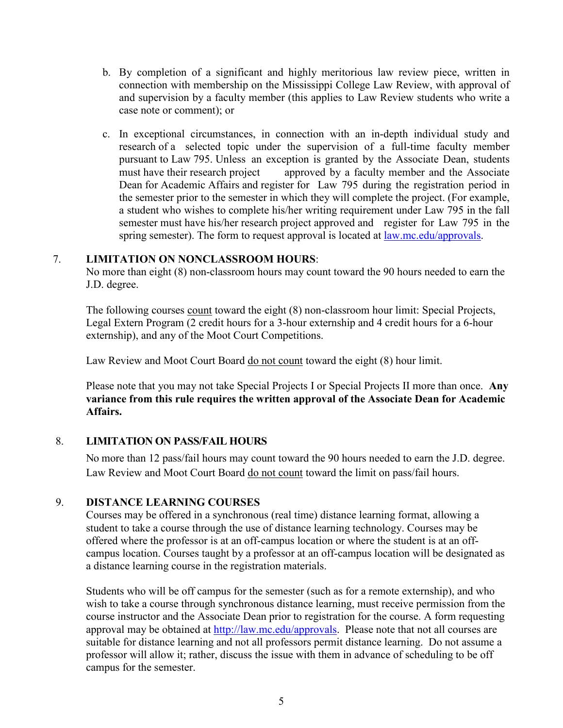- b. By completion of a significant and highly meritorious law review piece, written in connection with membership on the Mississippi College Law Review, with approval of and supervision by a faculty member (this applies to Law Review students who write a case note or comment); or
- c. In exceptional circumstances, in connection with an in-depth individual study and research of a selected topic under the supervision of a full-time faculty member pursuant to Law 795. Unless an exception is granted by the Associate Dean, students must have their research project approved by a faculty member and the Associate approved by a faculty member and the Associate Dean for Academic Affairs and register for Law 795 during the registration period in the semester prior to the semester in which they will complete the project. (For example, a student who wishes to complete his/her writing requirement under Law 795 in the fall semester must have his/her research project approved and register for Law 795 in the spring semester). The form to request approval is located at law.mc.edu/approvals.

### 7. **LIMITATION ON NONCLASSROOM HOURS**:

 No more than eight (8) non-classroom hours may count toward the 90 hours needed to earn the J.D. degree.

 The following courses count toward the eight (8) non-classroom hour limit: Special Projects, Legal Extern Program (2 credit hours for a 3-hour externship and 4 credit hours for a 6-hour externship), and any of the Moot Court Competitions.

Law Review and Moot Court Board do not count toward the eight (8) hour limit.

Please note that you may not take Special Projects I or Special Projects II more than once. **Any variance from this rule requires the written approval of the Associate Dean for Academic Affairs.**

### 8. **LIMITATION ON PASS/FAIL HOURS**

No more than 12 pass/fail hours may count toward the 90 hours needed to earn the J.D. degree. Law Review and Moot Court Board do not count toward the limit on pass/fail hours.

### 9. **DISTANCE LEARNING COURSES**

Courses may be offered in a synchronous (real time) distance learning format, allowing a student to take a course through the use of distance learning technology. Courses may be offered where the professor is at an off-campus location or where the student is at an offcampus location. Courses taught by a professor at an off-campus location will be designated as a distance learning course in the registration materials.

Students who will be off campus for the semester (such as for a remote externship), and who wish to take a course through synchronous distance learning, must receive permission from the course instructor and the Associate Dean prior to registration for the course. A form requesting approval may be obtained at [http://law.mc.edu/a](http://law.mc.edu/)pprovals. Please note that not all courses are suitable for distance learning and not all professors permit distance learning. Do not assume a professor will allow it; rather, discuss the issue with them in advance of scheduling to be off campus for the semester.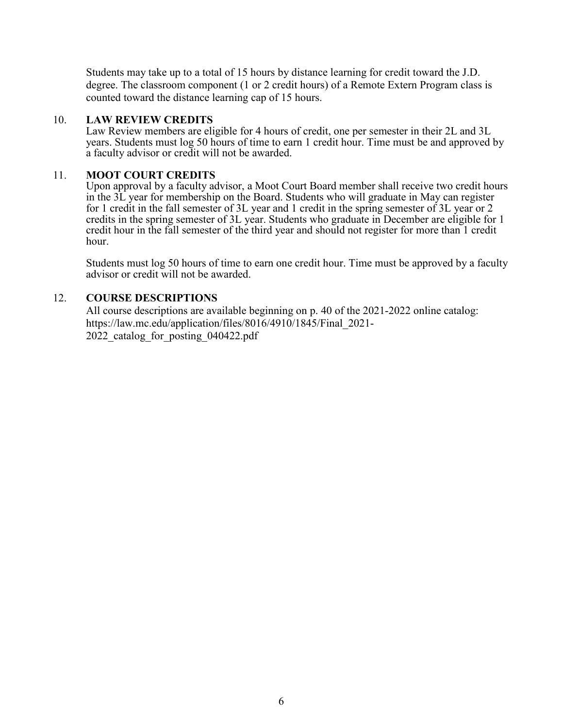Students may take up to a total of 15 hours by distance learning for credit toward the J.D. degree. The classroom component (1 or 2 credit hours) of a Remote Extern Program class is counted toward the distance learning cap of 15 hours.

#### 10. **LAW REVIEW CREDITS**

Law Review members are eligible for 4 hours of credit, one per semester in their 2L and 3L years. Students must log 50 hours of time to earn 1 credit hour. Time must be and approved by a faculty advisor or credit will not be awarded.

### 11. **MOOT COURT CREDITS**

Upon approval by a faculty advisor, a Moot Court Board member shall receive two credit hours in the 3L year for membership on the Board. Students who will graduate in May can register for 1 credit in the fall semester of 3L year and 1 credit in the spring semester of 3L year or 2 credits in the spring semester of 3L year. Students who graduate in December are eligible for 1 credit hour in the fall semester of the third year and should not register for more than 1 credit hour.

Students must log 50 hours of time to earn one credit hour. Time must be approved by a faculty advisor or credit will not be awarded.

### 12. **COURSE DESCRIPTIONS**

All course descriptions are available beginning on p. 40 of the 2021-2022 online catalog: https://law.mc.edu/application/files/8016/4910/1845/Final\_2021- 2022 catalog for posting 040422.pdf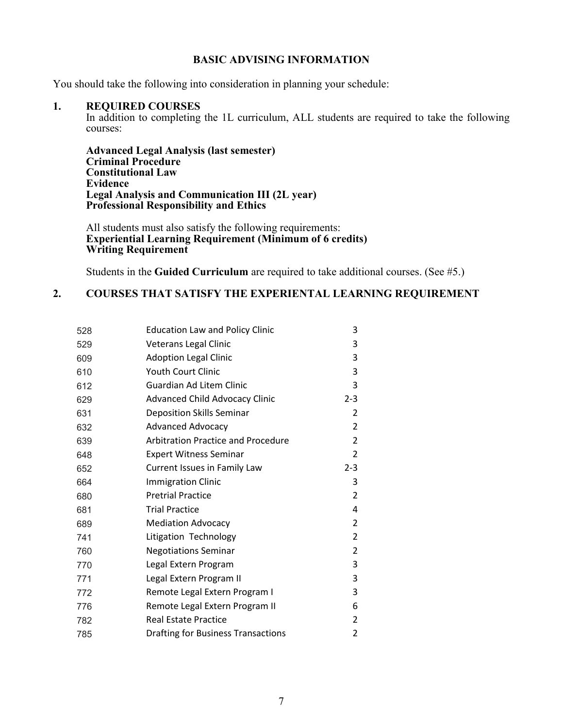#### **BASIC ADVISING INFORMATION**

You should take the following into consideration in planning your schedule:

#### **1. REQUIRED COURSES**

In addition to completing the 1L curriculum, ALL students are required to take the following courses:

 **Advanced Legal Analysis (last semester) Criminal Procedure Constitutional Law Evidence Legal Analysis and Communication III (2L year) Professional Responsibility and Ethics**

All students must also satisfy the following requirements: **Experiential Learning Requirement (Minimum of 6 credits) Writing Requirement**

Students in the **Guided Curriculum** are required to take additional courses. (See #5.)

# **2. COURSES THAT SATISFY THE EXPERIENTAL LEARNING REQUIREMENT**

| 528 | <b>Education Law and Policy Clinic</b>    | 3              |
|-----|-------------------------------------------|----------------|
| 529 | Veterans Legal Clinic                     | 3              |
| 609 | <b>Adoption Legal Clinic</b>              | 3              |
| 610 | <b>Youth Court Clinic</b>                 | 3              |
| 612 | Guardian Ad Litem Clinic                  | 3              |
| 629 | <b>Advanced Child Advocacy Clinic</b>     | $2 - 3$        |
| 631 | Deposition Skills Seminar                 | $\overline{2}$ |
| 632 | <b>Advanced Advocacy</b>                  | $\overline{2}$ |
| 639 | <b>Arbitration Practice and Procedure</b> | $\overline{2}$ |
| 648 | <b>Expert Witness Seminar</b>             | $\overline{2}$ |
| 652 | Current Issues in Family Law              | $2 - 3$        |
| 664 | <b>Immigration Clinic</b>                 | 3              |
| 680 | <b>Pretrial Practice</b>                  | $\overline{2}$ |
| 681 | <b>Trial Practice</b>                     | 4              |
| 689 | <b>Mediation Advocacy</b>                 | $\overline{2}$ |
| 741 | Litigation Technology                     | $\overline{2}$ |
| 760 | <b>Negotiations Seminar</b>               | $\overline{2}$ |
| 770 | Legal Extern Program                      | 3              |
| 771 | Legal Extern Program II                   | 3              |
| 772 | Remote Legal Extern Program I             | 3              |
| 776 | Remote Legal Extern Program II            | 6              |
| 782 | <b>Real Estate Practice</b>               | $\overline{2}$ |
| 785 | <b>Drafting for Business Transactions</b> | 2              |
|     |                                           |                |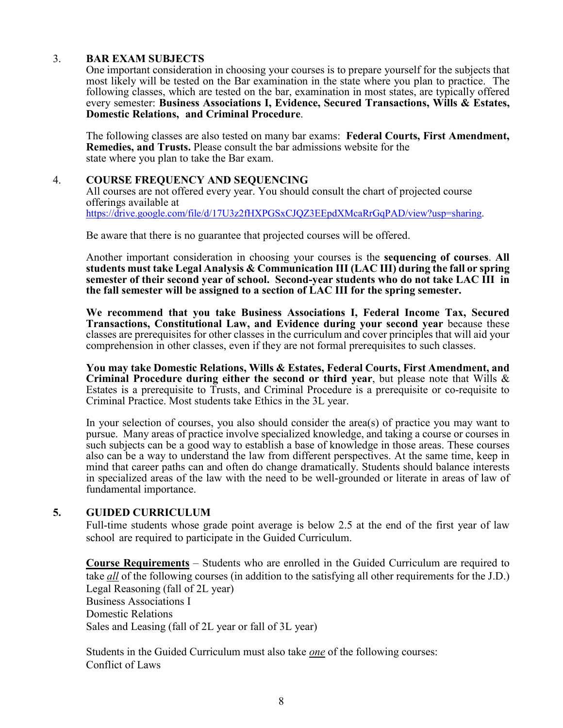#### 3. **BAR EXAM SUBJECTS**

One important consideration in choosing your courses is to prepare yourself for the subjects that most likely will be tested on the Bar examination in the state where you plan to practice. The following classes, which are tested on the bar, examination in most states, are typically offered every semester: **Business Associations I, Evidence, Secured Transactions, Wills & Estates, Domestic Relations, and Criminal Procedure**.

The following classes are also tested on many bar exams: **Federal Courts, First Amendment, Remedies, and Trusts.** Please consult the bar admissions website for the state where you plan to take the Bar exam.<br>4. COURSE FREOUENCY AND SEOUEN

#### 4. **COURSE FREQUENCY AND SEQUENCING**

 All courses are not offered every year. You should consult the chart of projected course offerings available at [https://drive.google.com/file/d/17U3z2fHXPGSxCJQZ3EEpdXMcaRrGqPAD/view?usp=sharing.](https://drive.google.com/file/d/17U3z2fHXPGSxCJQZ3EEpdXMcaRrGqPAD/view?usp=sharing)

Be aware that there is no guarantee that projected courses will be offered.

Another important consideration in choosing your courses is the **sequencing of courses**. **All students must take Legal Analysis & Communication III (LAC III) during the fall or spring semester of their second year of school. Second-year students who do not take LAC III in the fall semester will be assigned to a section of LAC III for the spring semester.** 

**We recommend that you take Business Associations I, Federal Income Tax, Secured Transactions, Constitutional Law, and Evidence during your second year** because these classes are prerequisites for other classes in the curriculum and cover principles that will aid your comprehension in other classes, even if they are not formal prerequisites to such classes.

**You may take Domestic Relations, Wills & Estates, Federal Courts, First Amendment, and Criminal Procedure during either the second or third year**, but please note that Wills & Estates is a prerequisite to Trusts, and Criminal Procedure is a prerequisite or co-requisite to Criminal Practice. Most students take Ethics in the 3L year.

In your selection of courses, you also should consider the area(s) of practice you may want to pursue. Many areas of practice involve specialized knowledge, and taking a course or courses in such subjects can be a good way to establish a base of knowledge in those areas. These courses also can be a way to understand the law from different perspectives. At the same time, keep in mind that career paths can and often do change dramatically. Students should balance interests in specialized areas of the law with the need to be well-grounded or literate in areas of law of fundamental importance.

### **5. GUIDED CURRICULUM**

Full-time students whose grade point average is below 2.5 at the end of the first year of law school are required to participate in the Guided Curriculum.

**Course Requirements** – Students who are enrolled in the Guided Curriculum are required to take *all* of the following courses (in addition to the satisfying all other requirements for the J.D.) Legal Reasoning (fall of 2L year) Business Associations I Domestic Relations Sales and Leasing (fall of 2L year or fall of 3L year)

 Students in the Guided Curriculum must also take *one* of the following courses: Conflict of Laws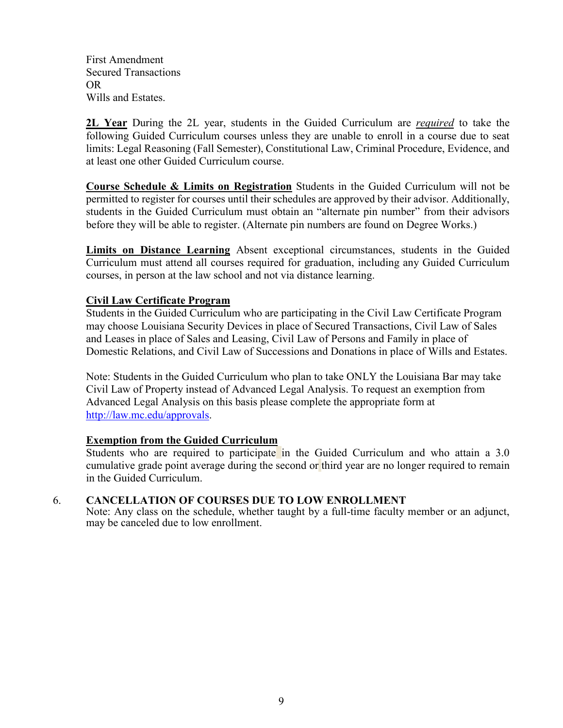First Amendment Secured Transactions OR Wills and Estates.

**2L Year** During the 2L year, students in the Guided Curriculum are *required* to take the following Guided Curriculum courses unless they are unable to enroll in a course due to seat limits: Legal Reasoning (Fall Semester), Constitutional Law, Criminal Procedure, Evidence, and at least one other Guided Curriculum course.

**Course Schedule & Limits on Registration** Students in the Guided Curriculum will not be permitted to register for courses until their schedules are approved by their advisor. Additionally, students in the Guided Curriculum must obtain an "alternate pin number" from their advisors before they will be able to register. (Alternate pin numbers are found on Degree Works.)

**Limits on Distance Learning** Absent exceptional circumstances, students in the Guided Curriculum must attend all courses required for graduation, including any Guided Curriculum courses, in person at the law school and not via distance learning.

### **Civil Law Certificate Program**

 Students in the Guided Curriculum who are participating in the Civil Law Certificate Program may choose Louisiana Security Devices in place of Secured Transactions, Civil Law of Sales and Leases in place of Sales and Leasing, Civil Law of Persons and Family in place of Domestic Relations, and Civil Law of Successions and Donations in place of Wills and Estates.

Note: Students in the Guided Curriculum who plan to take ONLY the Louisiana Bar may take Civil Law of Property instead of Advanced Legal Analysis. To request an exemption from Advanced Legal Analysis on this basis please complete the appropriate form at [http://law.mc.edu/approvals.](http://law.mc.edu/approvals)

### **Exemption from the Guided Curriculum**

Students who are required to participate in the Guided Curriculum and who attain a 3.0 cumulative grade point average during the second or third year are no longer required to remain in the Guided Curriculum.

### 6. **CANCELLATION OF COURSES DUE TO LOW ENROLLMENT**

Note: Any class on the schedule, whether taught by a full-time faculty member or an adjunct, may be canceled due to low enrollment.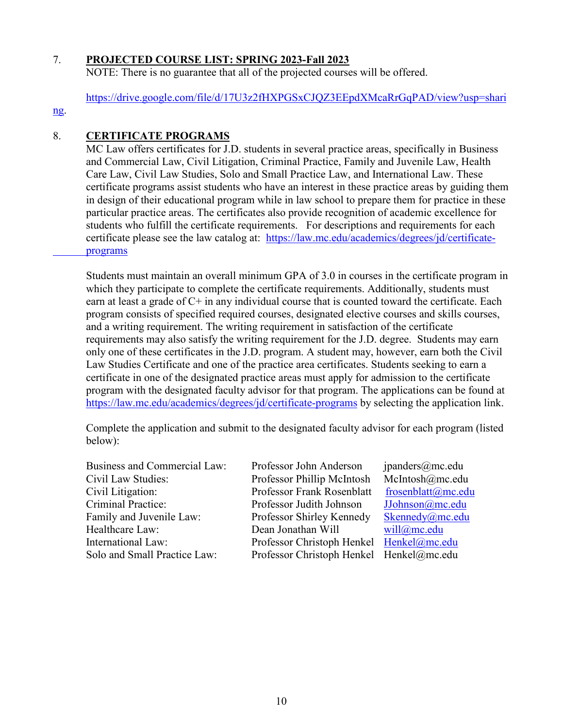### 7. **PROJECTED COURSE LIST: SPRING 2023-Fall 2023**

NOTE: There is no guarantee that all of the projected courses will be offered.

[https://drive.google.com/file/d/17U3z2fHXPGSxCJQZ3EEpdXMcaRrGqPAD/view?usp=shari](https://drive.google.com/file/d/17U3z2fHXPGSxCJQZ3EEpdXMcaRrGqPAD/view?usp=sharing)

### [ng.](https://drive.google.com/file/d/17U3z2fHXPGSxCJQZ3EEpdXMcaRrGqPAD/view?usp=sharing)

# 8. **CERTIFICATE PROGRAMS**

MC Law offers certificates for J.D. students in several practice areas, specifically in Business and Commercial Law, Civil Litigation, Criminal Practice, Family and Juvenile Law, Health Care Law, Civil Law Studies, Solo and Small Practice Law, and International Law. These certificate programs assist students who have an interest in these practice areas by guiding them in design of their educational program while in law school to prepare them for practice in these particular practice areas. The certificates also provide recognition of academic excellence for students who fulfill the certificate requirements. For descriptions and requirements for each certificate please see the law catalog at: [https://law.mc.edu/academics/degrees/jd/certificate](https://law.mc.edu/academics/degrees/jd/certificate-%09programs)  [programs](https://law.mc.edu/academics/degrees/jd/certificate-%09programs)

Students must maintain an overall minimum GPA of 3.0 in courses in the certificate program in which they participate to complete the certificate requirements. Additionally, students must earn at least a grade of  $C+$  in any individual course that is counted toward the certificate. Each program consists of specified required courses, designated elective courses and skills courses, and a writing requirement. The writing requirement in satisfaction of the certificate requirements may also satisfy the writing requirement for the J.D. degree. Students may earn only one of these certificates in the J.D. program. A student may, however, earn both the Civil Law Studies Certificate and one of the practice area certificates. Students seeking to earn a certificate in one of the designated practice areas must apply for admission to the certificate program with the designated faculty advisor for that program. The applications can be found at <https://law.mc.edu/academics/degrees/jd/certificate-programs> by selecting the application link.

 Complete the application and submit to the designated faculty advisor for each program (listed below):

Business and Commercial Law: Professor John Anderson jpanders@mc.edu Civil Law Studies: Professor Phillip McIntosh McIntosh@mc.edu Civil Litigation: Professor Frank Rosenblatt frosenblatt *complete metalu* Criminal Practice: Professor Judith Johnson [JJohnson@mc.edu](mailto:JJohnson@mc.edu) Family and Juvenile Law: Professor Shirley Kennedy [Skennedy@mc.edu](mailto:Skennedy@mc.edu)<br>Healthcare Law: Dean Jonathan Will will@mc.edu Healthcare Law: Dean Jonathan Will International Law: Professor Christoph Henkel [Henkel@mc.edu](mailto:Henkel@mc.edu) Solo and Small Practice Law: Professor Christoph Henkel Henkel@mc.edu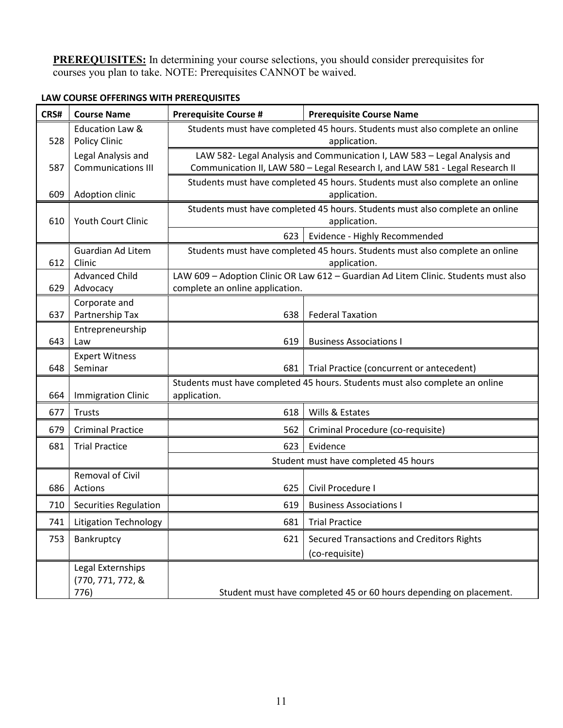**PREREQUISITES:** In determining your course selections, you should consider prerequisites for courses you plan to take. NOTE: Prerequisites CANNOT be waived.

| CRS#                             | <b>Course Name</b>                                                           | <b>Prerequisite Course #</b>                                                                 | <b>Prerequisite Course Name</b>                                              |  |  |
|----------------------------------|------------------------------------------------------------------------------|----------------------------------------------------------------------------------------------|------------------------------------------------------------------------------|--|--|
|                                  | <b>Education Law &amp;</b>                                                   | Students must have completed 45 hours. Students must also complete an online                 |                                                                              |  |  |
| 528                              | <b>Policy Clinic</b>                                                         | application.                                                                                 |                                                                              |  |  |
|                                  | Legal Analysis and                                                           | LAW 582- Legal Analysis and Communication I, LAW 583 - Legal Analysis and                    |                                                                              |  |  |
| <b>Communications III</b><br>587 |                                                                              | Communication II, LAW 580 - Legal Research I, and LAW 581 - Legal Research II                |                                                                              |  |  |
|                                  |                                                                              | Students must have completed 45 hours. Students must also complete an online                 |                                                                              |  |  |
| Adoption clinic<br>609           |                                                                              | application.<br>Students must have completed 45 hours. Students must also complete an online |                                                                              |  |  |
| 610                              | Youth Court Clinic                                                           | application.                                                                                 |                                                                              |  |  |
|                                  |                                                                              | 623                                                                                          | Evidence - Highly Recommended                                                |  |  |
|                                  | <b>Guardian Ad Litem</b>                                                     |                                                                                              | Students must have completed 45 hours. Students must also complete an online |  |  |
| 612                              | Clinic                                                                       | application.                                                                                 |                                                                              |  |  |
|                                  | <b>Advanced Child</b>                                                        | LAW 609 - Adoption Clinic OR Law 612 - Guardian Ad Litem Clinic. Students must also          |                                                                              |  |  |
| 629                              | Advocacy                                                                     | complete an online application.                                                              |                                                                              |  |  |
|                                  | Corporate and                                                                |                                                                                              |                                                                              |  |  |
| 637                              | Partnership Tax                                                              | 638                                                                                          | <b>Federal Taxation</b>                                                      |  |  |
| 643                              | Entrepreneurship<br>Law                                                      | 619                                                                                          | <b>Business Associations I</b>                                               |  |  |
|                                  | <b>Expert Witness</b>                                                        |                                                                                              |                                                                              |  |  |
| 648                              | Seminar                                                                      | 681                                                                                          | Trial Practice (concurrent or antecedent)                                    |  |  |
|                                  | Students must have completed 45 hours. Students must also complete an online |                                                                                              |                                                                              |  |  |
| 664                              | <b>Immigration Clinic</b>                                                    | application.                                                                                 |                                                                              |  |  |
| 677                              | <b>Trusts</b>                                                                | 618                                                                                          | Wills & Estates                                                              |  |  |
| 679                              | <b>Criminal Practice</b>                                                     | 562                                                                                          | Criminal Procedure (co-requisite)                                            |  |  |
| 681                              | <b>Trial Practice</b>                                                        | 623                                                                                          | Evidence                                                                     |  |  |
|                                  |                                                                              | Student must have completed 45 hours                                                         |                                                                              |  |  |
|                                  | Removal of Civil                                                             |                                                                                              |                                                                              |  |  |
| 686                              | Actions                                                                      | 625                                                                                          | Civil Procedure I                                                            |  |  |
| 710                              | Securities Regulation                                                        | 619                                                                                          | <b>Business Associations I</b>                                               |  |  |
| 741                              | <b>Litigation Technology</b>                                                 | 681                                                                                          | <b>Trial Practice</b>                                                        |  |  |
| 753                              | Bankruptcy                                                                   | 621                                                                                          | <b>Secured Transactions and Creditors Rights</b>                             |  |  |
|                                  |                                                                              |                                                                                              | (co-requisite)                                                               |  |  |
|                                  | Legal Externships                                                            |                                                                                              |                                                                              |  |  |
|                                  | (770, 771, 772, &                                                            |                                                                                              |                                                                              |  |  |
| 776)                             |                                                                              | Student must have completed 45 or 60 hours depending on placement.                           |                                                                              |  |  |

# **LAW COURSE OFFERINGS WITH PREREQUISITES**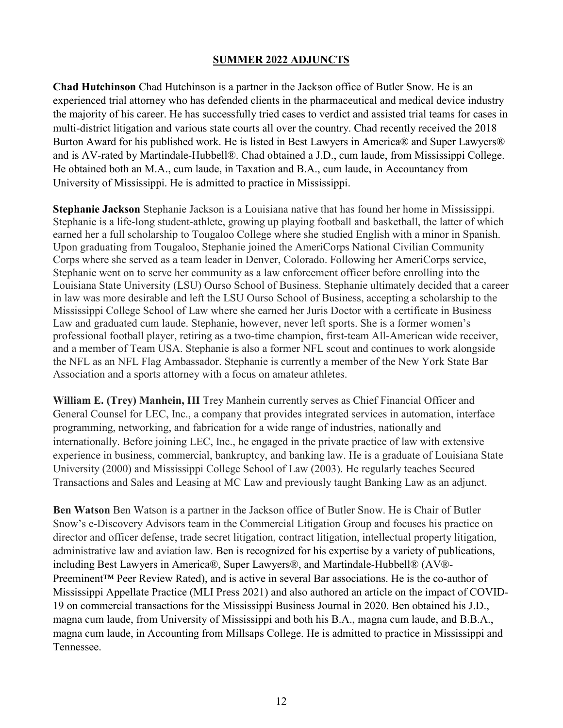### **SUMMER 2022 ADJUNCTS**

**Chad Hutchinson** Chad Hutchinson is a partner in the Jackson office of Butler Snow. He is an experienced trial attorney who has defended clients in the pharmaceutical and medical device industry the majority of his career. He has successfully tried cases to verdict and assisted trial teams for cases in multi-district litigation and various state courts all over the country. Chad recently received the 2018 Burton Award for his published work. He is listed in Best Lawyers in America® and Super Lawyers® and is AV-rated by Martindale-Hubbell®. Chad obtained a J.D., cum laude, from Mississippi College. He obtained both an M.A., cum laude, in Taxation and B.A., cum laude, in Accountancy from University of Mississippi. He is admitted to practice in Mississippi.

**Stephanie Jackson** Stephanie Jackson is a Louisiana native that has found her home in Mississippi. Stephanie is a life-long student-athlete, growing up playing football and basketball, the latter of which earned her a full scholarship to Tougaloo College where she studied English with a minor in Spanish. Upon graduating from Tougaloo, Stephanie joined the AmeriCorps National Civilian Community Corps where she served as a team leader in Denver, Colorado. Following her AmeriCorps service, Stephanie went on to serve her community as a law enforcement officer before enrolling into the Louisiana State University (LSU) Ourso School of Business. Stephanie ultimately decided that a career in law was more desirable and left the LSU Ourso School of Business, accepting a scholarship to the Mississippi College School of Law where she earned her Juris Doctor with a certificate in Business Law and graduated cum laude. Stephanie, however, never left sports. She is a former women's professional football player, retiring as a two-time champion, first-team All-American wide receiver, and a member of Team USA. Stephanie is also a former NFL scout and continues to work alongside the NFL as an NFL Flag Ambassador. Stephanie is currently a member of the New York State Bar Association and a sports attorney with a focus on amateur athletes.

**William E. (Trey) Manhein, III** Trey Manhein currently serves as Chief Financial Officer and General Counsel for LEC, Inc., a company that provides integrated services in automation, interface programming, networking, and fabrication for a wide range of industries, nationally and internationally. Before joining LEC, Inc., he engaged in the private practice of law with extensive experience in business, commercial, bankruptcy, and banking law. He is a graduate of Louisiana State University (2000) and Mississippi College School of Law (2003). He regularly teaches Secured Transactions and Sales and Leasing at MC Law and previously taught Banking Law as an adjunct.

**Ben Watson** Ben Watson is a partner in the Jackson office of Butler Snow. He is Chair of Butler Snow's e-Discovery Advisors team in the Commercial Litigation Group and focuses his practice on director and officer defense, trade secret litigation, contract litigation, intellectual property litigation, administrative law and aviation law. Ben is recognized for his expertise by a variety of publications, including Best Lawyers in America®, Super Lawyers®, and Martindale-Hubbell® (AV®- Preeminent™ Peer Review Rated), and is active in several Bar associations. He is the co-author of Mississippi Appellate Practice (MLI Press 2021) and also authored an article on the impact of COVID-19 on commercial transactions for the Mississippi Business Journal in 2020. Ben obtained his J.D., magna cum laude, from University of Mississippi and both his B.A., magna cum laude, and B.B.A., magna cum laude, in Accounting from Millsaps College. He is admitted to practice in Mississippi and Tennessee.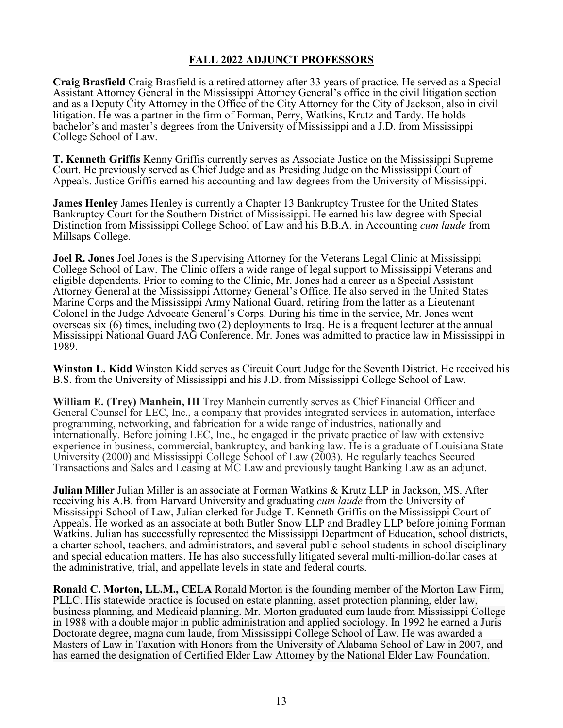## **FALL 2022 ADJUNCT PROFESSORS**

**Craig Brasfield** Craig Brasfield is a retired attorney after 33 years of practice. He served as a Special Assistant Attorney General in the Mississippi Attorney General's office in the civil litigation section and as a Deputy City Attorney in the Office of the City Attorney for the City of Jackson, also in civil litigation. He was a partner in the firm of Forman, Perry, Watkins, Krutz and Tardy. He holds bachelor's and master's degrees from the University of Mississippi and a J.D. from Mississippi College School of Law.

**T. Kenneth Griffis** Kenny Griffis currently serves as Associate Justice on the Mississippi Supreme Court. He previously served as Chief Judge and as Presiding Judge on the Mississippi Court of Appeals. Justice Griffis earned his accounting and law degrees from the University of Mississippi.

**James Henley** James Henley is currently a Chapter 13 Bankruptcy Trustee for the United States Bankruptcy Court for the Southern District of Mississippi. He earned his law degree with Special Distinction from Mississippi College School of Law and his B.B.A. in Accounting *cum laude* from Millsaps College.

**Joel R. Jones** Joel Jones is the Supervising Attorney for the Veterans Legal Clinic at Mississippi College School of Law. The Clinic offers a wide range of legal support to Mississippi Veterans and eligible dependents. Prior to coming to the Clinic, Mr. Jones had a career as a Special Assistant Attorney General at the Mississippi Attorney General's Office. He also served in the United States Marine Corps and the Mississippi Army National Guard, retiring from the latter as a Lieutenant Colonel in the Judge Advocate General's Corps. During his time in the service, Mr. Jones went overseas six (6) times, including two (2) deployments to Iraq. He is a frequent lecturer at the annual Mississippi National Guard JAG Conference. Mr. Jones was admitted to practice law in Mississippi in 1989.

**Winston L. Kidd** Winston Kidd serves as Circuit Court Judge for the Seventh District. He received his B.S. from the University of Mississippi and his J.D. from Mississippi College School of Law.

**William E. (Trey) Manhein, III** Trey Manhein currently serves as Chief Financial Officer and General Counsel for LEC, Inc., a company that provides integrated services in automation, interface programming, networking, and fabrication for a wide range of industries, nationally and internationally. Before joining LEC, Inc., he engaged in the private practice of law with extensive experience in business, commercial, bankruptcy, and banking law. He is a graduate of Louisiana State University (2000) and Mississippi College School of Law (2003). He regularly teaches Secured Transactions and Sales and Leasing at MC Law and previously taught Banking Law as an adjunct.

**Julian Miller** Julian Miller is an associate at Forman Watkins & Krutz LLP in Jackson, MS. After receiving his A.B. from Harvard University and graduating *cum laude* from the University of Mississippi School of Law, Julian clerked for Judge T. Kenneth Griffis on the Mississippi Court of Appeals. He worked as an associate at both Butler Snow LLP and Bradley LLP before joining Forman Watkins. Julian has successfully represented the Mississippi Department of Education, school districts, a charter school, teachers, and administrators, and several public-school students in school disciplinary and special education matters. He has also successfully litigated several multi-million-dollar cases at the administrative, trial, and appellate levels in state and federal courts.

**Ronald C. Morton, LL.M., CELA** Ronald Morton is the founding member of the Morton Law Firm, PLLC. His statewide practice is focused on estate planning, asset protection planning, elder law, business planning, and Medicaid planning. Mr. Morton graduated cum laude from Mississippi College in 1988 with a double major in public administration and applied sociology. In 1992 he earned a Juris Doctorate degree, magna cum laude, from Mississippi College School of Law. He was awarded a Masters of Law in Taxation with Honors from the University of Alabama School of Law in 2007, and has earned the designation of Certified Elder Law Attorney by the National Elder Law Foundation.